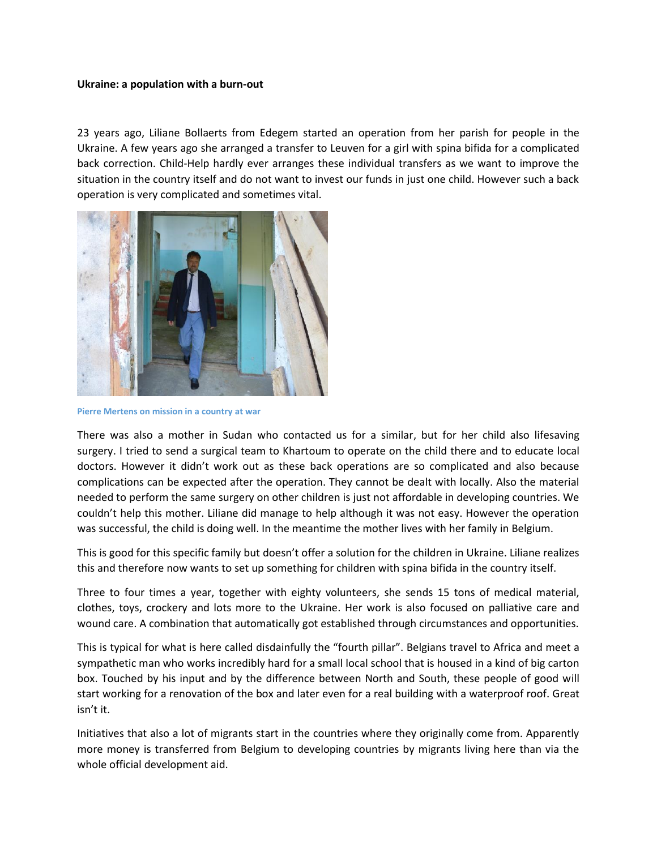## **Ukraine: a population with a burn-out**

23 years ago, Liliane Bollaerts from Edegem started an operation from her parish for people in the Ukraine. A few years ago she arranged a transfer to Leuven for a girl with spina bifida for a complicated back correction. Child-Help hardly ever arranges these individual transfers as we want to improve the situation in the country itself and do not want to invest our funds in just one child. However such a back operation is very complicated and sometimes vital.



**Pierre Mertens on mission in a country at war**

There was also a mother in Sudan who contacted us for a similar, but for her child also lifesaving surgery. I tried to send a surgical team to Khartoum to operate on the child there and to educate local doctors. However it didn't work out as these back operations are so complicated and also because complications can be expected after the operation. They cannot be dealt with locally. Also the material needed to perform the same surgery on other children is just not affordable in developing countries. We couldn't help this mother. Liliane did manage to help although it was not easy. However the operation was successful, the child is doing well. In the meantime the mother lives with her family in Belgium.

This is good for this specific family but doesn't offer a solution for the children in Ukraine. Liliane realizes this and therefore now wants to set up something for children with spina bifida in the country itself.

Three to four times a year, together with eighty volunteers, she sends 15 tons of medical material, clothes, toys, crockery and lots more to the Ukraine. Her work is also focused on palliative care and wound care. A combination that automatically got established through circumstances and opportunities.

This is typical for what is here called disdainfully the "fourth pillar". Belgians travel to Africa and meet a sympathetic man who works incredibly hard for a small local school that is housed in a kind of big carton box. Touched by his input and by the difference between North and South, these people of good will start working for a renovation of the box and later even for a real building with a waterproof roof. Great isn't it.

Initiatives that also a lot of migrants start in the countries where they originally come from. Apparently more money is transferred from Belgium to developing countries by migrants living here than via the whole official development aid.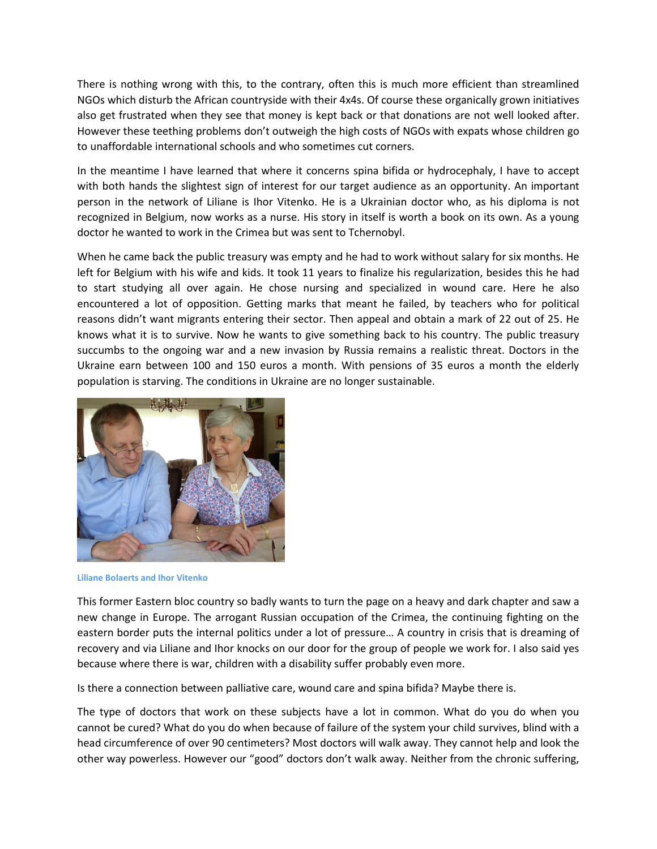There is nothing wrong with this, to the contrary, often this is much more efficient than streamlined NGOs which disturb the African countryside with their 4x4s. Of course these organically grown initiatives also get frustrated when they see that money is kept back or that donations are not well looked after. However these teething problems don't outweigh the high costs of NGOs with expats whose children go to unaffordable international schools and who sometimes cut corners.

In the meantime I have learned that where it concerns spina bifida or hydrocephaly, I have to accept with both hands the slightest sign of interest for our target audience as an opportunity. An important person in the network of Liliane is Ihor Vitenko. He is a Ukrainian doctor who, as his diploma is not recognized in Belgium, now works as a nurse. His story in itself is worth a book on its own. As a young doctor he wanted to work in the Crimea but was sent to Tchernobyl.

When he came back the public treasury was empty and he had to work without salary for six months. He left for Belgium with his wife and kids. It took 11 years to finalize his regularization, besides this he had to start studying all over again. He chose nursing and specialized in wound care. Here he also encountered a lot of opposition. Getting marks that meant he failed, by teachers who for political reasons didn't want migrants entering their sector. Then appeal and obtain a mark of 22 out of 25. He knows what it is to survive. Now he wants to give something back to his country. The public treasury succumbs to the ongoing war and a new invasion by Russia remains a realistic threat. Doctors in the Ukraine earn between 100 and 150 euros a month. With pensions of 35 euros a month the elderly population is starving. The conditions in Ukraine are no longer sustainable.



**Liliane Bolaerts and Ihor Vitenko**

This former Eastern bloc country so badly wants to turn the page on a heavy and dark chapter and saw a new change in Europe. The arrogant Russian occupation of the Crimea, the continuing fighting on the eastern border puts the internal politics under a lot of pressure… A country in crisis that is dreaming of recovery and via Liliane and Ihor knocks on our door for the group of people we work for. I also said yes because where there is war, children with a disability suffer probably even more.

Is there a connection between palliative care, wound care and spina bifida? Maybe there is.

The type of doctors that work on these subjects have a lot in common. What do you do when you cannot be cured? What do you do when because of failure of the system your child survives, blind with a head circumference of over 90 centimeters? Most doctors will walk away. They cannot help and look the other way powerless. However our "good" doctors don't walk away. Neither from the chronic suffering,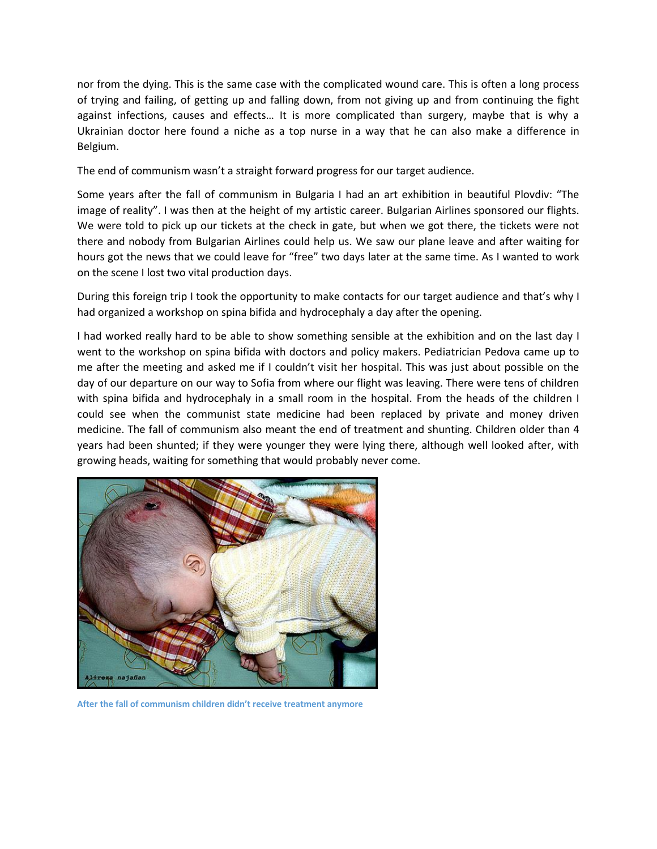nor from the dying. This is the same case with the complicated wound care. This is often a long process of trying and failing, of getting up and falling down, from not giving up and from continuing the fight against infections, causes and effects… It is more complicated than surgery, maybe that is why a Ukrainian doctor here found a niche as a top nurse in a way that he can also make a difference in Belgium.

The end of communism wasn't a straight forward progress for our target audience.

Some years after the fall of communism in Bulgaria I had an art exhibition in beautiful Plovdiv: "The image of reality". I was then at the height of my artistic career. Bulgarian Airlines sponsored our flights. We were told to pick up our tickets at the check in gate, but when we got there, the tickets were not there and nobody from Bulgarian Airlines could help us. We saw our plane leave and after waiting for hours got the news that we could leave for "free" two days later at the same time. As I wanted to work on the scene I lost two vital production days.

During this foreign trip I took the opportunity to make contacts for our target audience and that's why I had organized a workshop on spina bifida and hydrocephaly a day after the opening.

I had worked really hard to be able to show something sensible at the exhibition and on the last day I went to the workshop on spina bifida with doctors and policy makers. Pediatrician Pedova came up to me after the meeting and asked me if I couldn't visit her hospital. This was just about possible on the day of our departure on our way to Sofia from where our flight was leaving. There were tens of children with spina bifida and hydrocephaly in a small room in the hospital. From the heads of the children I could see when the communist state medicine had been replaced by private and money driven medicine. The fall of communism also meant the end of treatment and shunting. Children older than 4 years had been shunted; if they were younger they were lying there, although well looked after, with growing heads, waiting for something that would probably never come.



**After the fall of communism children didn't receive treatment anymore**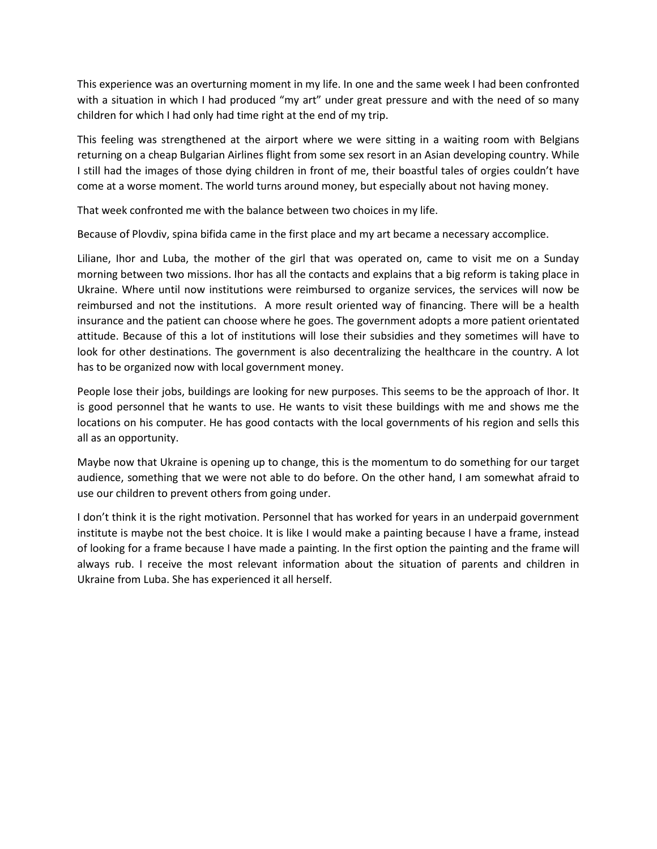This experience was an overturning moment in my life. In one and the same week I had been confronted with a situation in which I had produced "my art" under great pressure and with the need of so many children for which I had only had time right at the end of my trip.

This feeling was strengthened at the airport where we were sitting in a waiting room with Belgians returning on a cheap Bulgarian Airlines flight from some sex resort in an Asian developing country. While I still had the images of those dying children in front of me, their boastful tales of orgies couldn't have come at a worse moment. The world turns around money, but especially about not having money.

That week confronted me with the balance between two choices in my life.

Because of Plovdiv, spina bifida came in the first place and my art became a necessary accomplice.

Liliane, Ihor and Luba, the mother of the girl that was operated on, came to visit me on a Sunday morning between two missions. Ihor has all the contacts and explains that a big reform is taking place in Ukraine. Where until now institutions were reimbursed to organize services, the services will now be reimbursed and not the institutions. A more result oriented way of financing. There will be a health insurance and the patient can choose where he goes. The government adopts a more patient orientated attitude. Because of this a lot of institutions will lose their subsidies and they sometimes will have to look for other destinations. The government is also decentralizing the healthcare in the country. A lot has to be organized now with local government money.

People lose their jobs, buildings are looking for new purposes. This seems to be the approach of Ihor. It is good personnel that he wants to use. He wants to visit these buildings with me and shows me the locations on his computer. He has good contacts with the local governments of his region and sells this all as an opportunity.

Maybe now that Ukraine is opening up to change, this is the momentum to do something for our target audience, something that we were not able to do before. On the other hand, I am somewhat afraid to use our children to prevent others from going under.

I don't think it is the right motivation. Personnel that has worked for years in an underpaid government institute is maybe not the best choice. It is like I would make a painting because I have a frame, instead of looking for a frame because I have made a painting. In the first option the painting and the frame will always rub. I receive the most relevant information about the situation of parents and children in Ukraine from Luba. She has experienced it all herself.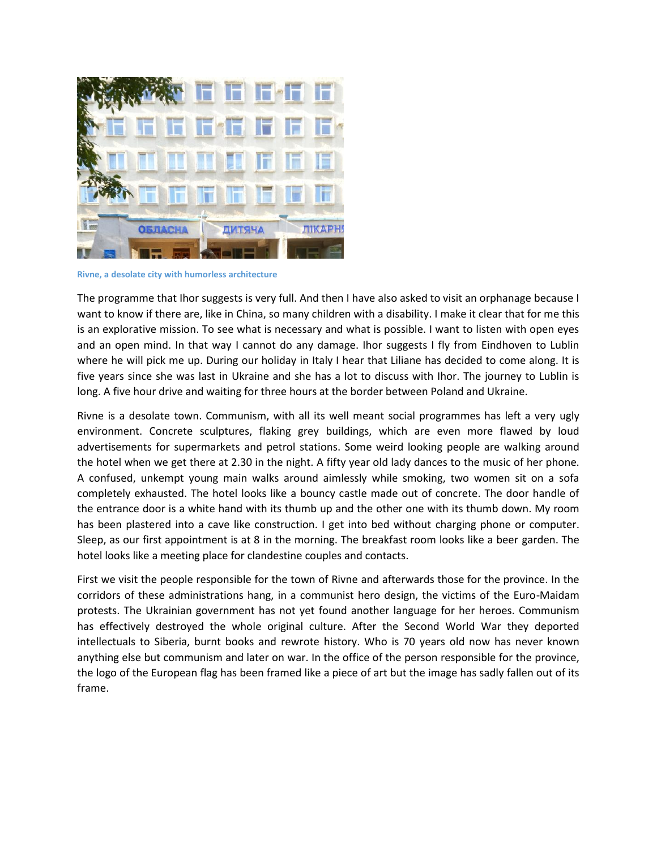

**Rivne, a desolate city with humorless architecture**

The programme that Ihor suggests is very full. And then I have also asked to visit an orphanage because I want to know if there are, like in China, so many children with a disability. I make it clear that for me this is an explorative mission. To see what is necessary and what is possible. I want to listen with open eyes and an open mind. In that way I cannot do any damage. Ihor suggests I fly from Eindhoven to Lublin where he will pick me up. During our holiday in Italy I hear that Liliane has decided to come along. It is five years since she was last in Ukraine and she has a lot to discuss with Ihor. The journey to Lublin is long. A five hour drive and waiting for three hours at the border between Poland and Ukraine.

Rivne is a desolate town. Communism, with all its well meant social programmes has left a very ugly environment. Concrete sculptures, flaking grey buildings, which are even more flawed by loud advertisements for supermarkets and petrol stations. Some weird looking people are walking around the hotel when we get there at 2.30 in the night. A fifty year old lady dances to the music of her phone. A confused, unkempt young main walks around aimlessly while smoking, two women sit on a sofa completely exhausted. The hotel looks like a bouncy castle made out of concrete. The door handle of the entrance door is a white hand with its thumb up and the other one with its thumb down. My room has been plastered into a cave like construction. I get into bed without charging phone or computer. Sleep, as our first appointment is at 8 in the morning. The breakfast room looks like a beer garden. The hotel looks like a meeting place for clandestine couples and contacts.

First we visit the people responsible for the town of Rivne and afterwards those for the province. In the corridors of these administrations hang, in a communist hero design, the victims of the Euro-Maidam protests. The Ukrainian government has not yet found another language for her heroes. Communism has effectively destroyed the whole original culture. After the Second World War they deported intellectuals to Siberia, burnt books and rewrote history. Who is 70 years old now has never known anything else but communism and later on war. In the office of the person responsible for the province, the logo of the European flag has been framed like a piece of art but the image has sadly fallen out of its frame.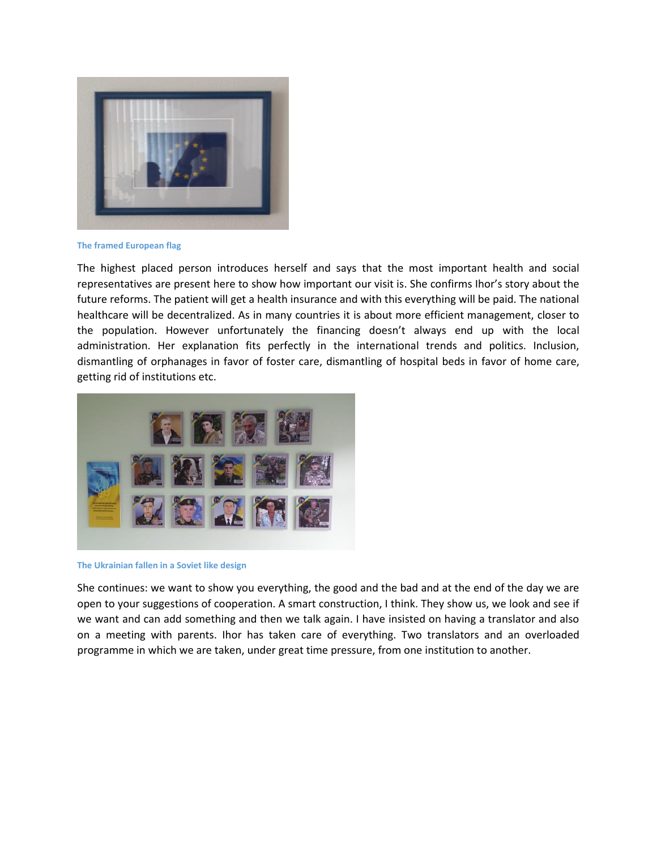

**The framed European flag**

The highest placed person introduces herself and says that the most important health and social representatives are present here to show how important our visit is. She confirms Ihor's story about the future reforms. The patient will get a health insurance and with this everything will be paid. The national healthcare will be decentralized. As in many countries it is about more efficient management, closer to the population. However unfortunately the financing doesn't always end up with the local administration. Her explanation fits perfectly in the international trends and politics. Inclusion, dismantling of orphanages in favor of foster care, dismantling of hospital beds in favor of home care, getting rid of institutions etc.



**The Ukrainian fallen in a Soviet like design**

She continues: we want to show you everything, the good and the bad and at the end of the day we are open to your suggestions of cooperation. A smart construction, I think. They show us, we look and see if we want and can add something and then we talk again. I have insisted on having a translator and also on a meeting with parents. Ihor has taken care of everything. Two translators and an overloaded programme in which we are taken, under great time pressure, from one institution to another.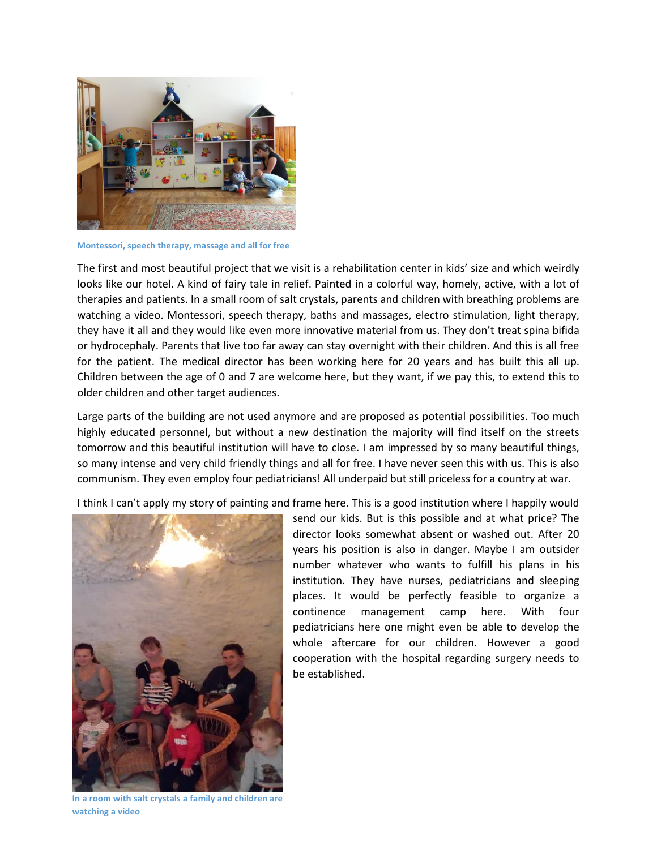

**Montessori, speech therapy, massage and all for free**

The first and most beautiful project that we visit is a rehabilitation center in kids' size and which weirdly looks like our hotel. A kind of fairy tale in relief. Painted in a colorful way, homely, active, with a lot of therapies and patients. In a small room of salt crystals, parents and children with breathing problems are watching a video. Montessori, speech therapy, baths and massages, electro stimulation, light therapy, they have it all and they would like even more innovative material from us. They don't treat spina bifida or hydrocephaly. Parents that live too far away can stay overnight with their children. And this is all free for the patient. The medical director has been working here for 20 years and has built this all up. Children between the age of 0 and 7 are welcome here, but they want, if we pay this, to extend this to older children and other target audiences.

Large parts of the building are not used anymore and are proposed as potential possibilities. Too much highly educated personnel, but without a new destination the majority will find itself on the streets tomorrow and this beautiful institution will have to close. I am impressed by so many beautiful things, so many intense and very child friendly things and all for free. I have never seen this with us. This is also communism. They even employ four pediatricians! All underpaid but still priceless for a country at war.

I think I can't apply my story of painting and frame here. This is a good institution where I happily would



send our kids. But is this possible and at what price? The director looks somewhat absent or washed out. After 20 years his position is also in danger. Maybe I am outsider number whatever who wants to fulfill his plans in his institution. They have nurses, pediatricians and sleeping places. It would be perfectly feasible to organize a continence management camp here. With four pediatricians here one might even be able to develop the whole aftercare for our children. However a good cooperation with the hospital regarding surgery needs to be established.

**In a room with salt crystals a family and children are watching a video**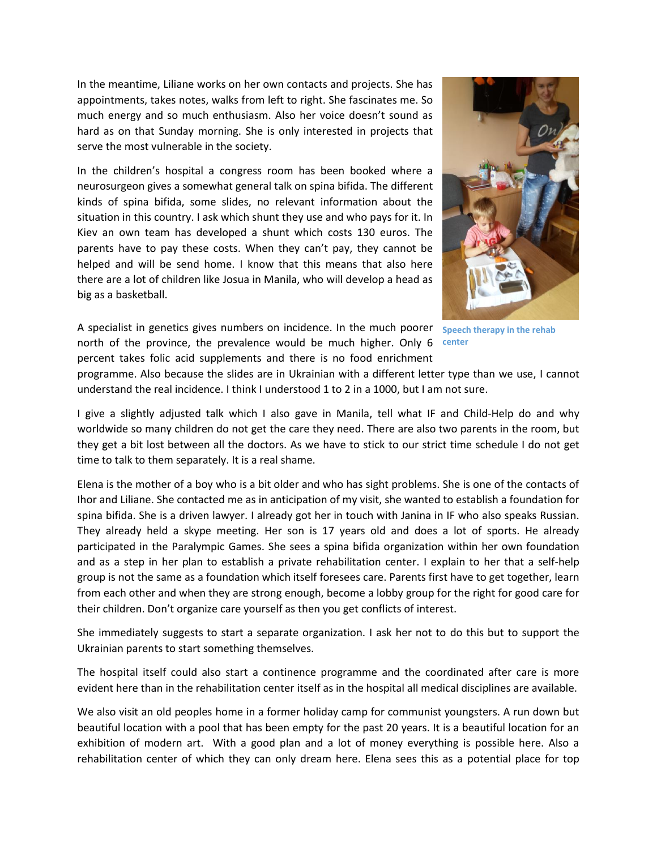In the meantime, Liliane works on her own contacts and projects. She has appointments, takes notes, walks from left to right. She fascinates me. So much energy and so much enthusiasm. Also her voice doesn't sound as hard as on that Sunday morning. She is only interested in projects that serve the most vulnerable in the society.

In the children's hospital a congress room has been booked where a neurosurgeon gives a somewhat general talk on spina bifida. The different kinds of spina bifida, some slides, no relevant information about the situation in this country. I ask which shunt they use and who pays for it. In Kiev an own team has developed a shunt which costs 130 euros. The parents have to pay these costs. When they can't pay, they cannot be helped and will be send home. I know that this means that also here there are a lot of children like Josua in Manila, who will develop a head as big as a basketball.

A specialist in genetics gives numbers on incidence. In the much poorer **Speech therapy in the rehab**  north of the province, the prevalence would be much higher. Only 6 **center**percent takes folic acid supplements and there is no food enrichment



programme. Also because the slides are in Ukrainian with a different letter type than we use, I cannot understand the real incidence. I think I understood 1 to 2 in a 1000, but I am not sure.

I give a slightly adjusted talk which I also gave in Manila, tell what IF and Child-Help do and why worldwide so many children do not get the care they need. There are also two parents in the room, but they get a bit lost between all the doctors. As we have to stick to our strict time schedule I do not get time to talk to them separately. It is a real shame.

Elena is the mother of a boy who is a bit older and who has sight problems. She is one of the contacts of Ihor and Liliane. She contacted me as in anticipation of my visit, she wanted to establish a foundation for spina bifida. She is a driven lawyer. I already got her in touch with Janina in IF who also speaks Russian. They already held a skype meeting. Her son is 17 years old and does a lot of sports. He already participated in the Paralympic Games. She sees a spina bifida organization within her own foundation and as a step in her plan to establish a private rehabilitation center. I explain to her that a self-help group is not the same as a foundation which itself foresees care. Parents first have to get together, learn from each other and when they are strong enough, become a lobby group for the right for good care for their children. Don't organize care yourself as then you get conflicts of interest.

She immediately suggests to start a separate organization. I ask her not to do this but to support the Ukrainian parents to start something themselves.

The hospital itself could also start a continence programme and the coordinated after care is more evident here than in the rehabilitation center itself as in the hospital all medical disciplines are available.

We also visit an old peoples home in a former holiday camp for communist youngsters. A run down but beautiful location with a pool that has been empty for the past 20 years. It is a beautiful location for an exhibition of modern art. With a good plan and a lot of money everything is possible here. Also a rehabilitation center of which they can only dream here. Elena sees this as a potential place for top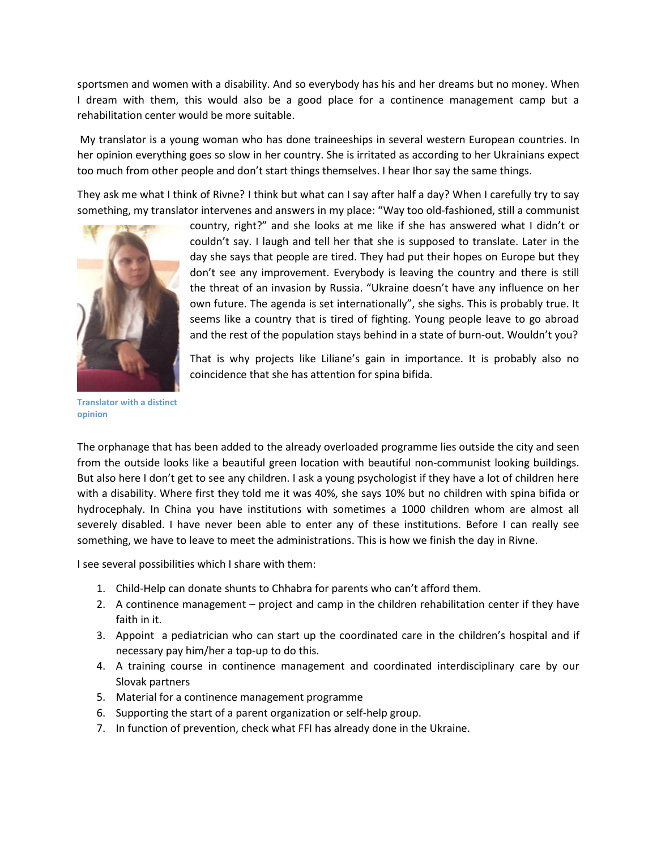sportsmen and women with a disability. And so everybody has his and her dreams but no money. When I dream with them, this would also be a good place for a continence management camp but a rehabilitation center would be more suitable.

My translator is a young woman who has done traineeships in several western European countries. In her opinion everything goes so slow in her country. She is irritated as according to her Ukrainians expect too much from other people and don't start things themselves. I hear Ihor say the same things.

They ask me what I think of Rivne? I think but what can I say after half a day? When I carefully try to say something, my translator intervenes and answers in my place: "Way too old-fashioned, still a communist



country, right?" and she looks at me like if she has answered what I didn't or couldn't say. I laugh and tell her that she is supposed to translate. Later in the day she says that people are tired. They had put their hopes on Europe but they don't see any improvement. Everybody is leaving the country and there is still the threat of an invasion by Russia. "Ukraine doesn't have any influence on her own future. The agenda is set internationally", she sighs. This is probably true. It seems like a country that is tired of fighting. Young people leave to go abroad and the rest of the population stays behind in a state of burn-out. Wouldn't you?

That is why projects like Liliane's gain in importance. It is probably also no coincidence that she has attention for spina bifida.

**Translator with a distinct opinion**

The orphanage that has been added to the already overloaded programme lies outside the city and seen from the outside looks like a beautiful green location with beautiful non-communist looking buildings. But also here I don't get to see any children. I ask a young psychologist if they have a lot of children here with a disability. Where first they told me it was 40%, she says 10% but no children with spina bifida or hydrocephaly. In China you have institutions with sometimes a 1000 children whom are almost all severely disabled. I have never been able to enter any of these institutions. Before I can really see something, we have to leave to meet the administrations. This is how we finish the day in Rivne.

I see several possibilities which I share with them:

- 1. Child-Help can donate shunts to Chhabra for parents who can't afford them.
- 2. A continence management project and camp in the children rehabilitation center if they have faith in it.
- 3. Appoint a pediatrician who can start up the coordinated care in the children's hospital and if necessary pay him/her a top-up to do this.
- 4. A training course in continence management and coordinated interdisciplinary care by our Slovak partners
- 5. Material for a continence management programme
- 6. Supporting the start of a parent organization or self-help group.
- 7. In function of prevention, check what FFI has already done in the Ukraine.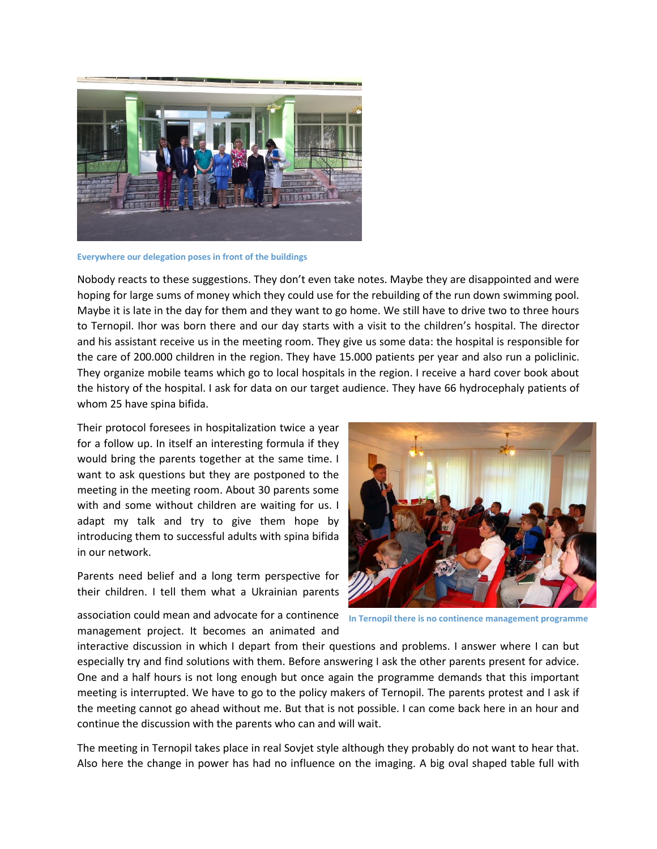

**Everywhere our delegation poses in front of the buildings**

Nobody reacts to these suggestions. They don't even take notes. Maybe they are disappointed and were hoping for large sums of money which they could use for the rebuilding of the run down swimming pool. Maybe it is late in the day for them and they want to go home. We still have to drive two to three hours to Ternopil. Ihor was born there and our day starts with a visit to the children's hospital. The director and his assistant receive us in the meeting room. They give us some data: the hospital is responsible for the care of 200.000 children in the region. They have 15.000 patients per year and also run a policlinic. They organize mobile teams which go to local hospitals in the region. I receive a hard cover book about the history of the hospital. I ask for data on our target audience. They have 66 hydrocephaly patients of whom 25 have spina bifida.

Their protocol foresees in hospitalization twice a year for a follow up. In itself an interesting formula if they would bring the parents together at the same time. I want to ask questions but they are postponed to the meeting in the meeting room. About 30 parents some with and some without children are waiting for us. I adapt my talk and try to give them hope by introducing them to successful adults with spina bifida in our network.

Parents need belief and a long term perspective for their children. I tell them what a Ukrainian parents

**In Ternopil there is no continence management programme**

association could mean and advocate for a continence management project. It becomes an animated and

interactive discussion in which I depart from their questions and problems. I answer where I can but especially try and find solutions with them. Before answering I ask the other parents present for advice. One and a half hours is not long enough but once again the programme demands that this important meeting is interrupted. We have to go to the policy makers of Ternopil. The parents protest and I ask if the meeting cannot go ahead without me. But that is not possible. I can come back here in an hour and continue the discussion with the parents who can and will wait.

The meeting in Ternopil takes place in real Sovjet style although they probably do not want to hear that. Also here the change in power has had no influence on the imaging. A big oval shaped table full with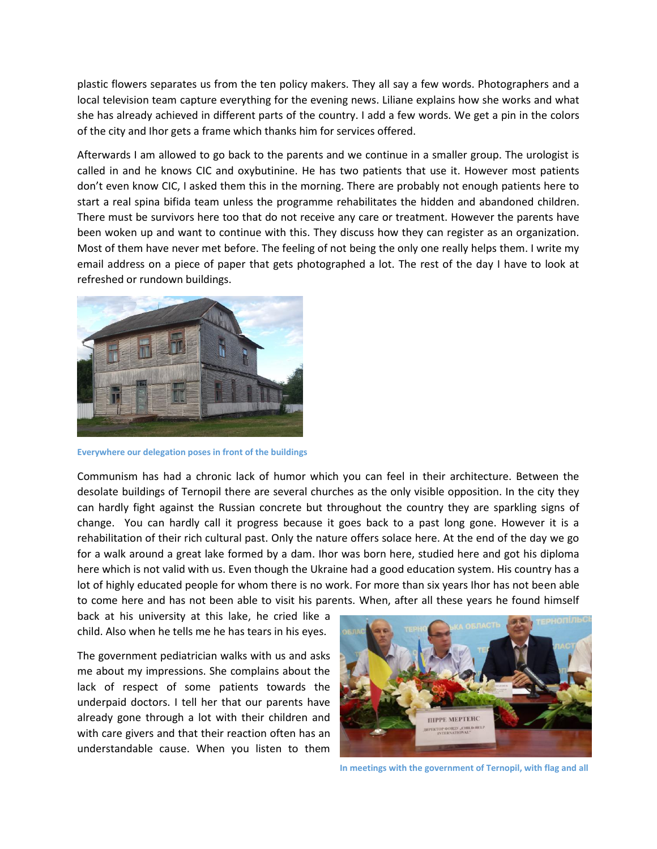plastic flowers separates us from the ten policy makers. They all say a few words. Photographers and a local television team capture everything for the evening news. Liliane explains how she works and what she has already achieved in different parts of the country. I add a few words. We get a pin in the colors of the city and Ihor gets a frame which thanks him for services offered.

Afterwards I am allowed to go back to the parents and we continue in a smaller group. The urologist is called in and he knows CIC and oxybutinine. He has two patients that use it. However most patients don't even know CIC, I asked them this in the morning. There are probably not enough patients here to start a real spina bifida team unless the programme rehabilitates the hidden and abandoned children. There must be survivors here too that do not receive any care or treatment. However the parents have been woken up and want to continue with this. They discuss how they can register as an organization. Most of them have never met before. The feeling of not being the only one really helps them. I write my email address on a piece of paper that gets photographed a lot. The rest of the day I have to look at refreshed or rundown buildings.



**Everywhere our delegation poses in front of the buildings**

Communism has had a chronic lack of humor which you can feel in their architecture. Between the desolate buildings of Ternopil there are several churches as the only visible opposition. In the city they can hardly fight against the Russian concrete but throughout the country they are sparkling signs of change. You can hardly call it progress because it goes back to a past long gone. However it is a rehabilitation of their rich cultural past. Only the nature offers solace here. At the end of the day we go for a walk around a great lake formed by a dam. Ihor was born here, studied here and got his diploma here which is not valid with us. Even though the Ukraine had a good education system. His country has a lot of highly educated people for whom there is no work. For more than six years Ihor has not been able to come here and has not been able to visit his parents. When, after all these years he found himself

back at his university at this lake, he cried like a child. Also when he tells me he has tears in his eyes.

The government pediatrician walks with us and asks me about my impressions. She complains about the lack of respect of some patients towards the underpaid doctors. I tell her that our parents have already gone through a lot with their children and with care givers and that their reaction often has an understandable cause. When you listen to them



**In meetings with the government of Ternopil, with flag and all**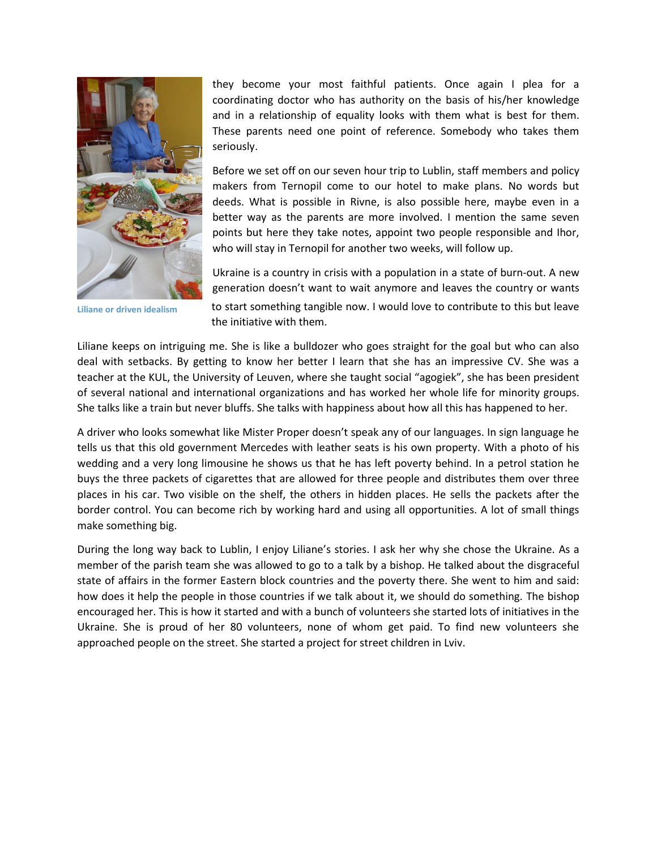

they become your most faithful patients. Once again I plea for a coordinating doctor who has authority on the basis of his/her knowledge and in a relationship of equality looks with them what is best for them. These parents need one point of reference. Somebody who takes them seriously.

Before we set off on our seven hour trip to Lublin, staff members and policy makers from Ternopil come to our hotel to make plans. No words but deeds. What is possible in Rivne, is also possible here, maybe even in a better way as the parents are more involved. I mention the same seven points but here they take notes, appoint two people responsible and Ihor, who will stay in Ternopil for another two weeks, will follow up.

Ukraine is a country in crisis with a population in a state of burn-out. A new generation doesn't want to wait anymore and leaves the country or wants to start something tangible now. I would love to contribute to this but leave the initiative with them.

Liliane keeps on intriguing me. She is like a bulldozer who goes straight for the goal but who can also deal with setbacks. By getting to know her better I learn that she has an impressive CV. She was a teacher at the KUL, the University of Leuven, where she taught social "agogiek", she has been president of several national and international organizations and has worked her whole life for minority groups. She talks like a train but never bluffs. She talks with happiness about how all this has happened to her.

A driver who looks somewhat like Mister Proper doesn't speak any of our languages. In sign language he tells us that this old government Mercedes with leather seats is his own property. With a photo of his wedding and a very long limousine he shows us that he has left poverty behind. In a petrol station he buys the three packets of cigarettes that are allowed for three people and distributes them over three places in his car. Two visible on the shelf, the others in hidden places. He sells the packets after the border control. You can become rich by working hard and using all opportunities. A lot of small things make something big.

During the long way back to Lublin, I enjoy Liliane's stories. I ask her why she chose the Ukraine. As a member of the parish team she was allowed to go to a talk by a bishop. He talked about the disgraceful state of affairs in the former Eastern block countries and the poverty there. She went to him and said: how does it help the people in those countries if we talk about it, we should do something. The bishop encouraged her. This is how it started and with a bunch of volunteers she started lots of initiatives in the Ukraine. She is proud of her 80 volunteers, none of whom get paid. To find new volunteers she approached people on the street. She started a project for street children in Lviv.